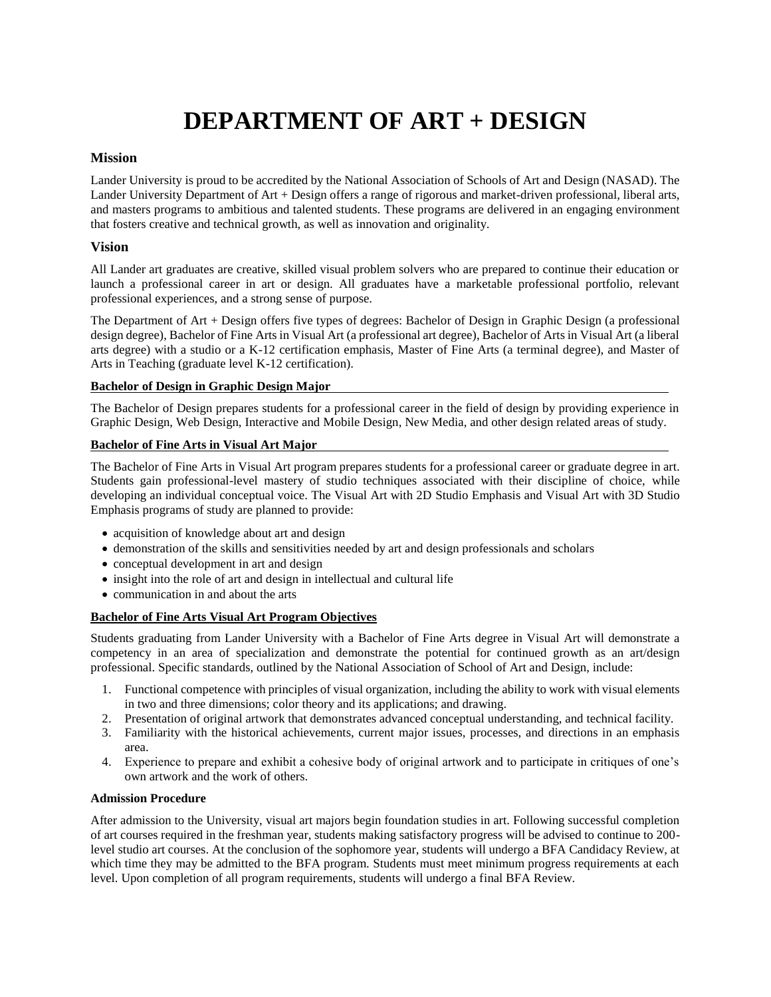# **DEPARTMENT OF ART + DESIGN**

### **Mission**

Lander University is proud to be accredited by the National Association of Schools of Art and Design (NASAD). The Lander University Department of Art + Design offers a range of rigorous and market-driven professional, liberal arts, and masters programs to ambitious and talented students. These programs are delivered in an engaging environment that fosters creative and technical growth, as well as innovation and originality.

### **Vision**

All Lander art graduates are creative, skilled visual problem solvers who are prepared to continue their education or launch a professional career in art or design. All graduates have a marketable professional portfolio, relevant professional experiences, and a strong sense of purpose.

The Department of Art + Design offers five types of degrees: Bachelor of Design in Graphic Design (a professional design degree), Bachelor of Fine Arts in Visual Art (a professional art degree), Bachelor of Arts in Visual Art (a liberal arts degree) with a studio or a K-12 certification emphasis, Master of Fine Arts (a terminal degree), and Master of Arts in Teaching (graduate level K-12 certification).

### **Bachelor of Design in Graphic Design Major**

The Bachelor of Design prepares students for a professional career in the field of design by providing experience in Graphic Design, Web Design, Interactive and Mobile Design, New Media, and other design related areas of study.

### **Bachelor of Fine Arts in Visual Art Major**

The Bachelor of Fine Arts in Visual Art program prepares students for a professional career or graduate degree in art. Students gain professional-level mastery of studio techniques associated with their discipline of choice, while developing an individual conceptual voice. The Visual Art with 2D Studio Emphasis and Visual Art with 3D Studio Emphasis programs of study are planned to provide:

- acquisition of knowledge about art and design
- demonstration of the skills and sensitivities needed by art and design professionals and scholars
- conceptual development in art and design
- insight into the role of art and design in intellectual and cultural life
- communication in and about the arts

### **Bachelor of Fine Arts Visual Art Program Objectives**

Students graduating from Lander University with a Bachelor of Fine Arts degree in Visual Art will demonstrate a competency in an area of specialization and demonstrate the potential for continued growth as an art/design professional. Specific standards, outlined by the National Association of School of Art and Design, include:

- 1. Functional competence with principles of visual organization, including the ability to work with visual elements in two and three dimensions; color theory and its applications; and drawing.
- 2. Presentation of original artwork that demonstrates advanced conceptual understanding, and technical facility.
- 3. Familiarity with the historical achievements, current major issues, processes, and directions in an emphasis area.
- 4. Experience to prepare and exhibit a cohesive body of original artwork and to participate in critiques of one's own artwork and the work of others.

### **Admission Procedure**

After admission to the University, visual art majors begin foundation studies in art. Following successful completion of art courses required in the freshman year, students making satisfactory progress will be advised to continue to 200 level studio art courses. At the conclusion of the sophomore year, students will undergo a BFA Candidacy Review, at which time they may be admitted to the BFA program. Students must meet minimum progress requirements at each level. Upon completion of all program requirements, students will undergo a final BFA Review.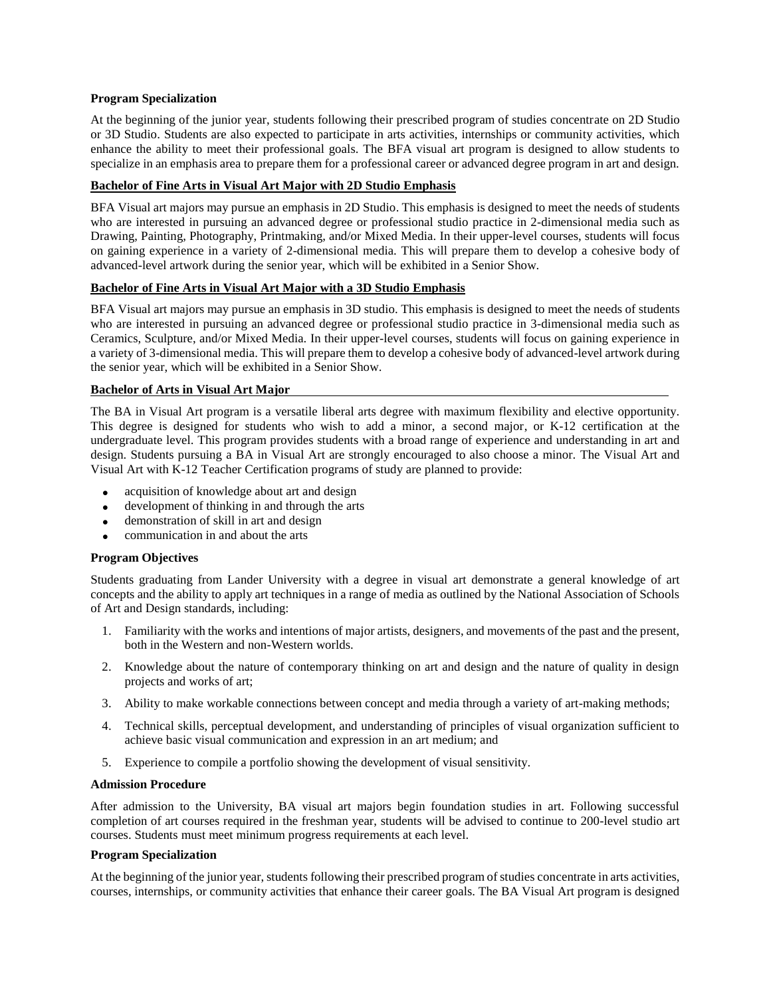#### **Program Specialization**

At the beginning of the junior year, students following their prescribed program of studies concentrate on 2D Studio or 3D Studio. Students are also expected to participate in arts activities, internships or community activities, which enhance the ability to meet their professional goals. The BFA visual art program is designed to allow students to specialize in an emphasis area to prepare them for a professional career or advanced degree program in art and design.

#### **Bachelor of Fine Arts in Visual Art Major with 2D Studio Emphasis**

BFA Visual art majors may pursue an emphasis in 2D Studio. This emphasis is designed to meet the needs of students who are interested in pursuing an advanced degree or professional studio practice in 2-dimensional media such as Drawing, Painting, Photography, Printmaking, and/or Mixed Media. In their upper-level courses, students will focus on gaining experience in a variety of 2-dimensional media. This will prepare them to develop a cohesive body of advanced-level artwork during the senior year, which will be exhibited in a Senior Show.

### **Bachelor of Fine Arts in Visual Art Major with a 3D Studio Emphasis**

BFA Visual art majors may pursue an emphasis in 3D studio. This emphasis is designed to meet the needs of students who are interested in pursuing an advanced degree or professional studio practice in 3-dimensional media such as Ceramics, Sculpture, and/or Mixed Media. In their upper-level courses, students will focus on gaining experience in a variety of 3-dimensional media. This will prepare them to develop a cohesive body of advanced-level artwork during the senior year, which will be exhibited in a Senior Show.

### **Bachelor of Arts in Visual Art Major**

The BA in Visual Art program is a versatile liberal arts degree with maximum flexibility and elective opportunity. This degree is designed for students who wish to add a minor, a second major, or K-12 certification at the undergraduate level. This program provides students with a broad range of experience and understanding in art and design. Students pursuing a BA in Visual Art are strongly encouraged to also choose a minor. The Visual Art and Visual Art with K-12 Teacher Certification programs of study are planned to provide:

- acquisition of knowledge about art and design
- development of thinking in and through the arts
- demonstration of skill in art and design
- communication in and about the arts

### **Program Objectives**

Students graduating from Lander University with a degree in visual art demonstrate a general knowledge of art concepts and the ability to apply art techniques in a range of media as outlined by the National Association of Schools of Art and Design standards, including:

- 1. Familiarity with the works and intentions of major artists, designers, and movements of the past and the present, both in the Western and non-Western worlds.
- 2. Knowledge about the nature of contemporary thinking on art and design and the nature of quality in design projects and works of art;
- 3. Ability to make workable connections between concept and media through a variety of art-making methods;
- 4. Technical skills, perceptual development, and understanding of principles of visual organization sufficient to achieve basic visual communication and expression in an art medium; and
- 5. Experience to compile a portfolio showing the development of visual sensitivity.

#### **Admission Procedure**

After admission to the University, BA visual art majors begin foundation studies in art. Following successful completion of art courses required in the freshman year, students will be advised to continue to 200-level studio art courses. Students must meet minimum progress requirements at each level.

#### **Program Specialization**

At the beginning of the junior year, students following their prescribed program of studies concentrate in arts activities, courses, internships, or community activities that enhance their career goals. The BA Visual Art program is designed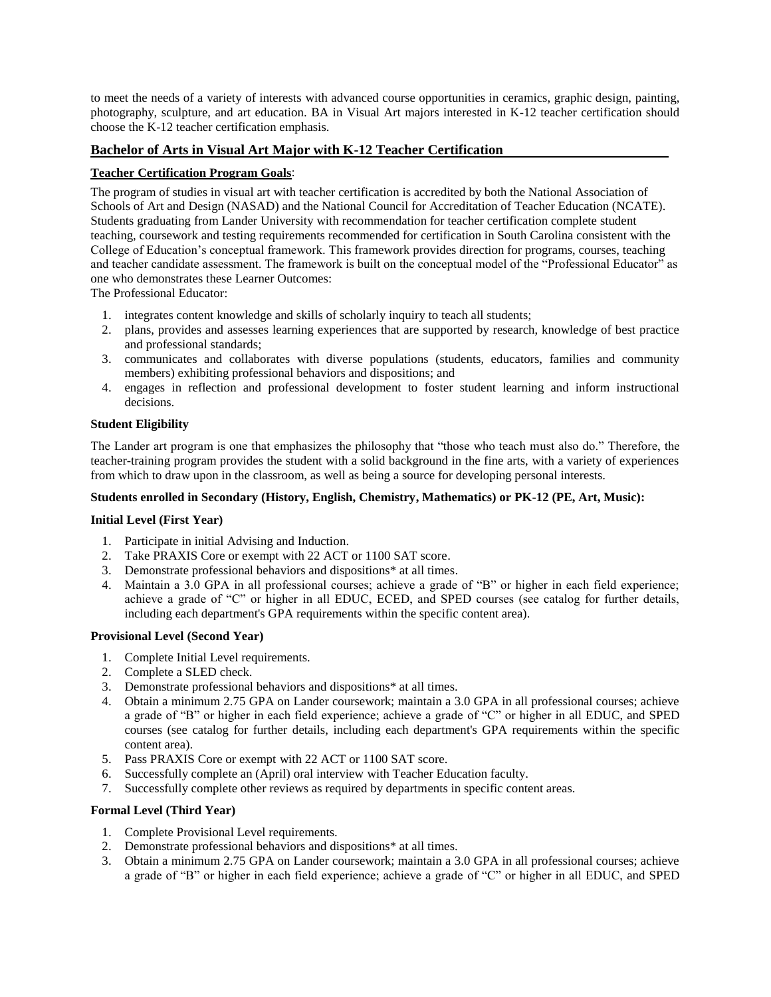to meet the needs of a variety of interests with advanced course opportunities in ceramics, graphic design, painting, photography, sculpture, and art education. BA in Visual Art majors interested in K-12 teacher certification should choose the K-12 teacher certification emphasis.

### **Bachelor of Arts in Visual Art Major with K-12 Teacher Certification**

### **Teacher Certification Program Goals**:

The program of studies in visual art with teacher certification is accredited by both the National Association of Schools of Art and Design (NASAD) and the National Council for Accreditation of Teacher Education (NCATE). Students graduating from Lander University with recommendation for teacher certification complete student teaching, coursework and testing requirements recommended for certification in South Carolina consistent with the College of Education's conceptual framework. This framework provides direction for programs, courses, teaching and teacher candidate assessment. The framework is built on the conceptual model of the "Professional Educator" as one who demonstrates these Learner Outcomes:

The Professional Educator:

- 1. integrates content knowledge and skills of scholarly inquiry to teach all students;
- 2. plans, provides and assesses learning experiences that are supported by research, knowledge of best practice and professional standards;
- 3. communicates and collaborates with diverse populations (students, educators, families and community members) exhibiting professional behaviors and dispositions; and
- 4. engages in reflection and professional development to foster student learning and inform instructional decisions.

#### **Student Eligibility**

The Lander art program is one that emphasizes the philosophy that "those who teach must also do." Therefore, the teacher-training program provides the student with a solid background in the fine arts, with a variety of experiences from which to draw upon in the classroom, as well as being a source for developing personal interests.

### **Students enrolled in Secondary (History, English, Chemistry, Mathematics) or PK-12 (PE, Art, Music):**

#### **Initial Level (First Year)**

- 1. Participate in initial Advising and Induction.
- 2. Take PRAXIS Core or exempt with 22 ACT or 1100 SAT score.
- 3. Demonstrate professional behaviors and dispositions\* at all times.
- 4. Maintain a 3.0 GPA in all professional courses; achieve a grade of "B" or higher in each field experience; achieve a grade of "C" or higher in all EDUC, ECED, and SPED courses (see catalog for further details, including each department's GPA requirements within the specific content area).

#### **Provisional Level (Second Year)**

- 1. Complete Initial Level requirements.
- 2. Complete a SLED check.
- 3. Demonstrate professional behaviors and dispositions\* at all times.
- 4. Obtain a minimum 2.75 GPA on Lander coursework; maintain a 3.0 GPA in all professional courses; achieve a grade of "B" or higher in each field experience; achieve a grade of "C" or higher in all EDUC, and SPED courses (see catalog for further details, including each department's GPA requirements within the specific content area).
- 5. Pass PRAXIS Core or exempt with 22 ACT or 1100 SAT score.
- 6. Successfully complete an (April) oral interview with Teacher Education faculty.
- 7. Successfully complete other reviews as required by departments in specific content areas.

### **Formal Level (Third Year)**

- 1. Complete Provisional Level requirements.
- 2. Demonstrate professional behaviors and dispositions\* at all times.
- 3. Obtain a minimum 2.75 GPA on Lander coursework; maintain a 3.0 GPA in all professional courses; achieve a grade of "B" or higher in each field experience; achieve a grade of "C" or higher in all EDUC, and SPED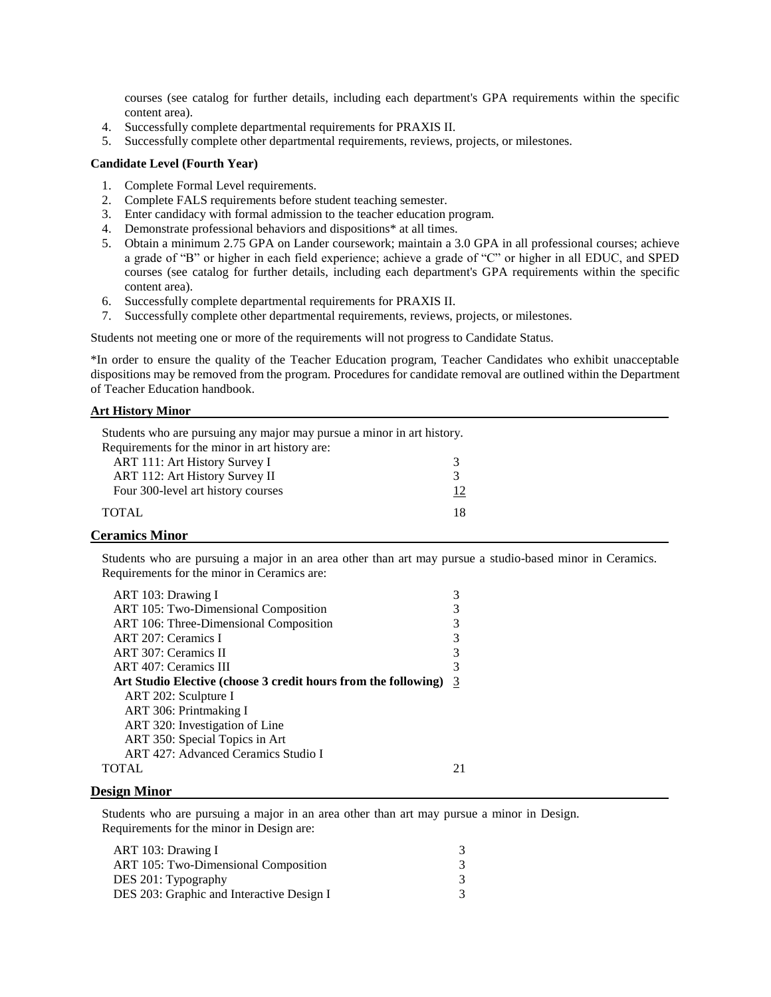courses (see catalog for further details, including each department's GPA requirements within the specific content area).

- 4. Successfully complete departmental requirements for PRAXIS II.
- 5. Successfully complete other departmental requirements, reviews, projects, or milestones.

#### **Candidate Level (Fourth Year)**

- 1. Complete Formal Level requirements.
- 2. Complete FALS requirements before student teaching semester.
- 3. Enter candidacy with formal admission to the teacher education program.
- 4. Demonstrate professional behaviors and dispositions\* at all times.
- 5. Obtain a minimum 2.75 GPA on Lander coursework; maintain a 3.0 GPA in all professional courses; achieve a grade of "B" or higher in each field experience; achieve a grade of "C" or higher in all EDUC, and SPED courses (see catalog for further details, including each department's GPA requirements within the specific content area).
- 6. Successfully complete departmental requirements for PRAXIS II.
- 7. Successfully complete other departmental requirements, reviews, projects, or milestones.

Students not meeting one or more of the requirements will not progress to Candidate Status.

\*In order to ensure the quality of the Teacher Education program, Teacher Candidates who exhibit unacceptable dispositions may be removed from the program. Procedures for candidate removal are outlined within the Department of Teacher Education handbook.

#### **Art History Minor**

| Students who are pursuing any major may pursue a minor in art history. |  |  |  |
|------------------------------------------------------------------------|--|--|--|
| Requirements for the minor in art history are:                         |  |  |  |
|                                                                        |  |  |  |
|                                                                        |  |  |  |
| 12                                                                     |  |  |  |
| 18                                                                     |  |  |  |
|                                                                        |  |  |  |

### **Ceramics Minor**

Students who are pursuing a major in an area other than art may pursue a studio-based minor in Ceramics. Requirements for the minor in Ceramics are:

| ART 103: Drawing I                                             |   |
|----------------------------------------------------------------|---|
| ART 105: Two-Dimensional Composition                           | 3 |
| ART 106: Three-Dimensional Composition                         | 3 |
| ART 207: Ceramics I                                            | 3 |
| ART 307: Ceramics II                                           | 3 |
| <b>ART 407: Ceramics III</b>                                   | 3 |
| Art Studio Elective (choose 3 credit hours from the following) | 3 |
| ART 202: Sculpture I                                           |   |
| ART 306: Printmaking I                                         |   |
| ART 320: Investigation of Line                                 |   |
| ART 350: Special Topics in Art                                 |   |
| ART 427: Advanced Ceramics Studio I                            |   |
| TOTAL.                                                         |   |
|                                                                |   |

#### **Design Minor**

Students who are pursuing a major in an area other than art may pursue a minor in Design. Requirements for the minor in Design are: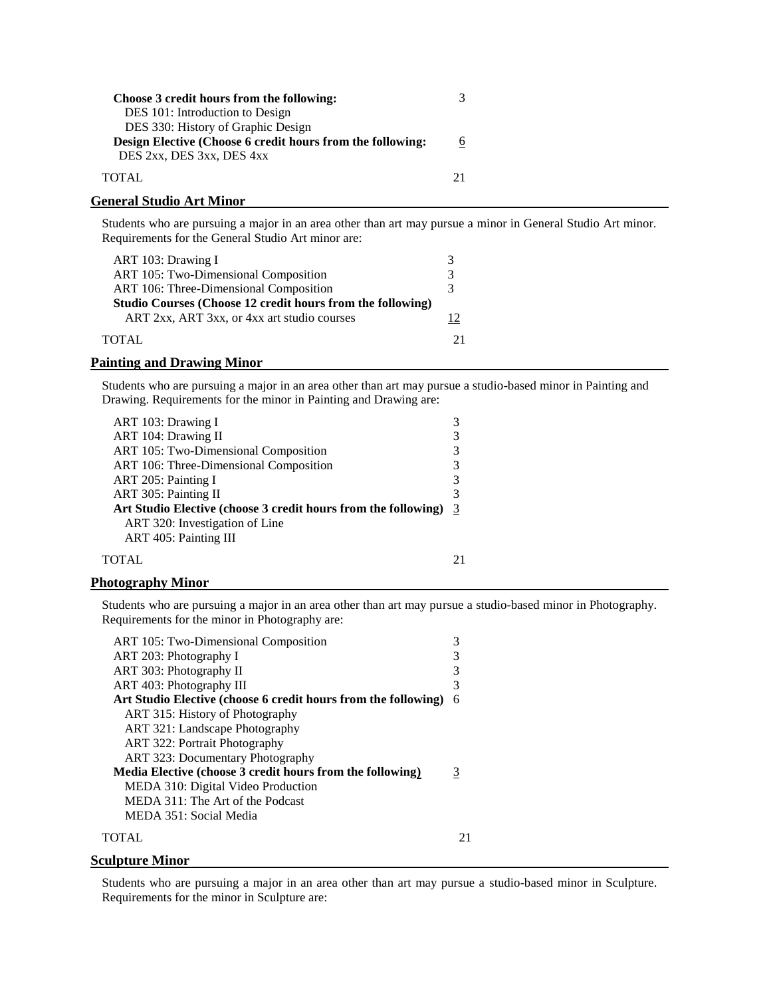| Choose 3 credit hours from the following:                  |  |
|------------------------------------------------------------|--|
| DES 101: Introduction to Design                            |  |
| DES 330: History of Graphic Design                         |  |
| Design Elective (Choose 6 credit hours from the following: |  |
| DES 2xx, DES 3xx, DES 4xx                                  |  |
| TOTAL                                                      |  |

### **General Studio Art Minor**

Students who are pursuing a major in an area other than art may pursue a minor in General Studio Art minor. Requirements for the General Studio Art minor are:

| ART 103: Drawing I                                         |   |
|------------------------------------------------------------|---|
| ART 105: Two-Dimensional Composition                       | 3 |
| ART 106: Three-Dimensional Composition                     | 3 |
| Studio Courses (Choose 12 credit hours from the following) |   |
| ART 2xx, ART 3xx, or 4xx art studio courses                |   |
| TOTAL.                                                     |   |

#### **Painting and Drawing Minor**

Students who are pursuing a major in an area other than art may pursue a studio-based minor in Painting and Drawing. Requirements for the minor in Painting and Drawing are:

| ART 103: Drawing I                                             |   |
|----------------------------------------------------------------|---|
| ART 104: Drawing II                                            | 3 |
| ART 105: Two-Dimensional Composition                           | 3 |
| ART 106: Three-Dimensional Composition                         | 3 |
| ART 205: Painting I                                            | 3 |
| ART 305: Painting II                                           | 3 |
| Art Studio Elective (choose 3 credit hours from the following) | 3 |
| ART 320: Investigation of Line                                 |   |
| ART 405: Painting III                                          |   |
| TOTAL                                                          |   |

### **Photography Minor**

Students who are pursuing a major in an area other than art may pursue a studio-based minor in Photography. Requirements for the minor in Photography are:

| ART 105: Two-Dimensional Composition                           | 3 |
|----------------------------------------------------------------|---|
| ART 203: Photography I                                         | 3 |
| ART 303: Photography II                                        | 3 |
| ART 403: Photography III                                       | 3 |
| Art Studio Elective (choose 6 credit hours from the following) | 6 |
| ART 315: History of Photography                                |   |
| ART 321: Landscape Photography                                 |   |
| ART 322: Portrait Photography                                  |   |
| <b>ART 323: Documentary Photography</b>                        |   |
| Media Elective (choose 3 credit hours from the following)      | 3 |
| MEDA 310: Digital Video Production                             |   |
| MEDA 311: The Art of the Podcast                               |   |
| MEDA 351: Social Media                                         |   |
|                                                                |   |
|                                                                |   |

#### **Sculpture Minor**

Students who are pursuing a major in an area other than art may pursue a studio-based minor in Sculpture. Requirements for the minor in Sculpture are: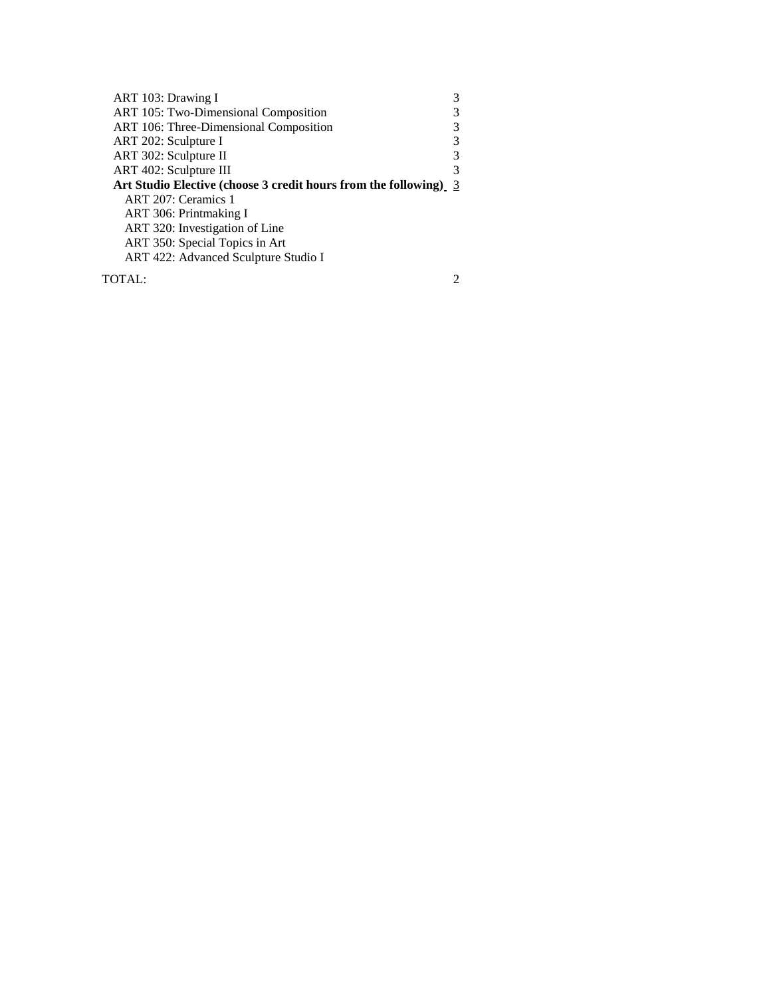| ART 103: Drawing I                                               |   |
|------------------------------------------------------------------|---|
| ART 105: Two-Dimensional Composition                             |   |
| ART 106: Three-Dimensional Composition                           |   |
| ART 202: Sculpture I                                             | 3 |
| ART 302: Sculpture II                                            | 3 |
| ART 402: Sculpture III                                           | 3 |
| Art Studio Elective (choose 3 credit hours from the following) 3 |   |
| ART 207: Ceramics 1                                              |   |
| ART 306: Printmaking I                                           |   |
| ART 320: Investigation of Line                                   |   |
| ART 350: Special Topics in Art                                   |   |
| ART 422: Advanced Sculpture Studio I                             |   |
|                                                                  |   |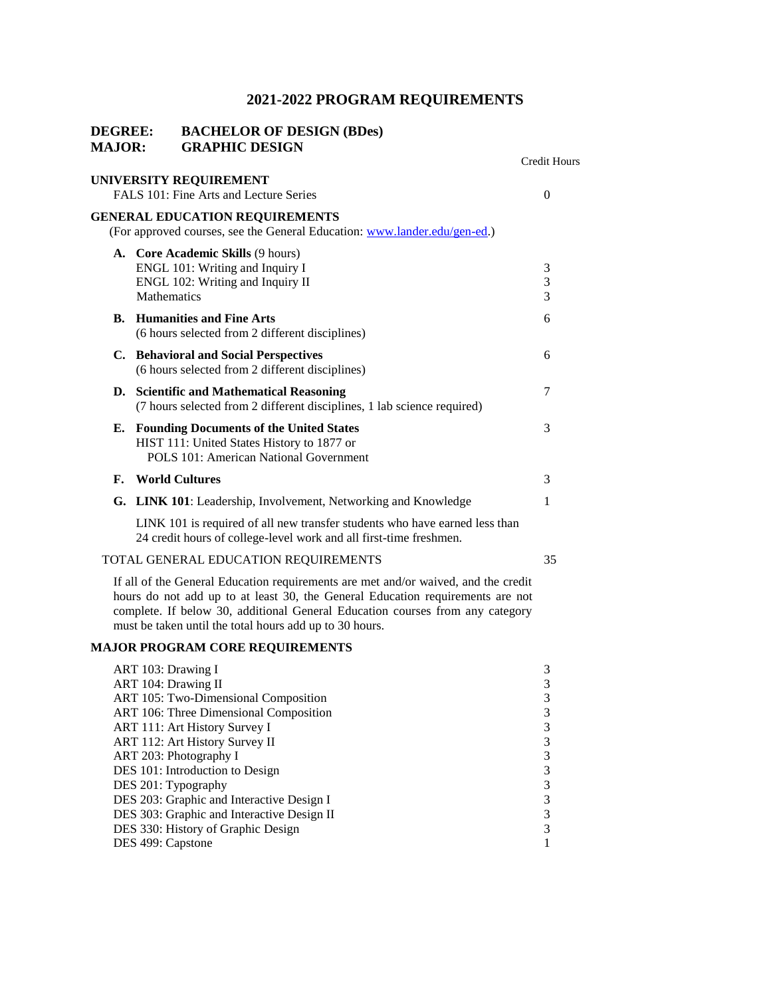| <b>DEGREE:</b><br><b>MAJOR:</b> | <b>BACHELOR OF DESIGN (BDes)</b><br><b>GRAPHIC DESIGN</b>                                                                                                                                                                                                                                                                                                                                                                                |                                                               |
|---------------------------------|------------------------------------------------------------------------------------------------------------------------------------------------------------------------------------------------------------------------------------------------------------------------------------------------------------------------------------------------------------------------------------------------------------------------------------------|---------------------------------------------------------------|
|                                 |                                                                                                                                                                                                                                                                                                                                                                                                                                          | <b>Credit Hours</b>                                           |
|                                 | UNIVERSITY REQUIREMENT<br>FALS 101: Fine Arts and Lecture Series                                                                                                                                                                                                                                                                                                                                                                         | $\overline{0}$                                                |
|                                 | <b>GENERAL EDUCATION REQUIREMENTS</b><br>(For approved courses, see the General Education: www.lander.edu/gen-ed.)                                                                                                                                                                                                                                                                                                                       |                                                               |
|                                 | A. Core Academic Skills (9 hours)<br>ENGL 101: Writing and Inquiry I<br>ENGL 102: Writing and Inquiry II<br>Mathematics                                                                                                                                                                                                                                                                                                                  | 3<br>3<br>3                                                   |
|                                 | <b>B.</b> Humanities and Fine Arts<br>(6 hours selected from 2 different disciplines)                                                                                                                                                                                                                                                                                                                                                    | 6                                                             |
|                                 | C. Behavioral and Social Perspectives<br>(6 hours selected from 2 different disciplines)                                                                                                                                                                                                                                                                                                                                                 | 6                                                             |
|                                 | D. Scientific and Mathematical Reasoning<br>(7 hours selected from 2 different disciplines, 1 lab science required)                                                                                                                                                                                                                                                                                                                      | 7                                                             |
| Е.                              | <b>Founding Documents of the United States</b><br>HIST 111: United States History to 1877 or<br>POLS 101: American National Government                                                                                                                                                                                                                                                                                                   | 3                                                             |
| F.                              | <b>World Cultures</b>                                                                                                                                                                                                                                                                                                                                                                                                                    | 3                                                             |
|                                 | G. LINK 101: Leadership, Involvement, Networking and Knowledge                                                                                                                                                                                                                                                                                                                                                                           | 1                                                             |
|                                 | LINK 101 is required of all new transfer students who have earned less than<br>24 credit hours of college-level work and all first-time freshmen.                                                                                                                                                                                                                                                                                        |                                                               |
|                                 | TOTAL GENERAL EDUCATION REQUIREMENTS                                                                                                                                                                                                                                                                                                                                                                                                     | 35                                                            |
|                                 | If all of the General Education requirements are met and/or waived, and the credit<br>hours do not add up to at least 30, the General Education requirements are not<br>complete. If below 30, additional General Education courses from any category<br>must be taken until the total hours add up to 30 hours.                                                                                                                         |                                                               |
|                                 | <b>MAJOR PROGRAM CORE REQUIREMENTS</b>                                                                                                                                                                                                                                                                                                                                                                                                   |                                                               |
|                                 | ART 103: Drawing I<br>ART 104: Drawing II<br>ART 105: Two-Dimensional Composition<br>ART 106: Three Dimensional Composition<br>ART 111: Art History Survey I<br>ART 112: Art History Survey II<br>ART 203: Photography I<br>DES 101: Introduction to Design<br>DES 201: Typography<br>DES 203: Graphic and Interactive Design I<br>DES 303: Graphic and Interactive Design II<br>DES 330: History of Graphic Design<br>DES 499: Capstone | 3<br>3<br>3<br>3<br>3<br>3<br>3<br>3<br>3<br>3<br>3<br>3<br>1 |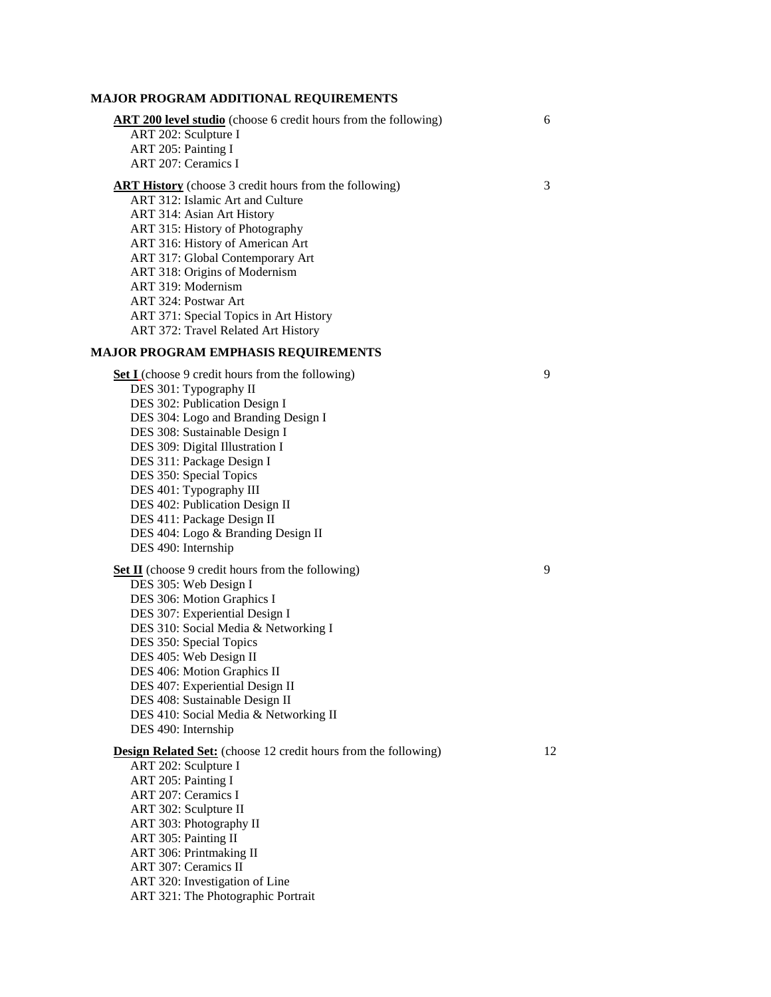### **MAJOR PROGRAM ADDITIONAL REQUIREMENTS**

| <b>ART 200 level studio</b> (choose 6 credit hours from the following)<br>ART 202: Sculpture I<br>ART 205: Painting I<br>ART 207: Ceramics I                                                                                                                                                                                                                                                                                                  | 6  |
|-----------------------------------------------------------------------------------------------------------------------------------------------------------------------------------------------------------------------------------------------------------------------------------------------------------------------------------------------------------------------------------------------------------------------------------------------|----|
| <b>ART History</b> (choose 3 credit hours from the following)<br>ART 312: Islamic Art and Culture<br>ART 314: Asian Art History<br>ART 315: History of Photography<br>ART 316: History of American Art<br>ART 317: Global Contemporary Art<br>ART 318: Origins of Modernism<br>ART 319: Modernism<br>ART 324: Postwar Art<br>ART 371: Special Topics in Art History<br>ART 372: Travel Related Art History                                    | 3  |
| MAJOR PROGRAM EMPHASIS REQUIREMENTS                                                                                                                                                                                                                                                                                                                                                                                                           |    |
| <b>Set I</b> (choose 9 credit hours from the following)<br>DES 301: Typography II<br>DES 302: Publication Design I<br>DES 304: Logo and Branding Design I<br>DES 308: Sustainable Design I<br>DES 309: Digital Illustration I<br>DES 311: Package Design I<br>DES 350: Special Topics<br>DES 401: Typography III<br>DES 402: Publication Design II<br>DES 411: Package Design II<br>DES 404: Logo & Branding Design II<br>DES 490: Internship | 9  |
|                                                                                                                                                                                                                                                                                                                                                                                                                                               | 9  |
| <b>Set II</b> (choose 9 credit hours from the following)<br>DES 305: Web Design I<br>DES 306: Motion Graphics I<br>DES 307: Experiential Design I<br>DES 310: Social Media & Networking I<br>DES 350: Special Topics<br>DES 405: Web Design II<br>DES 406: Motion Graphics II<br>DES 407: Experiential Design II<br>DES 408: Sustainable Design II<br>DES 410: Social Media & Networking II<br>DES 490: Internship                            |    |
| <b>Design Related Set:</b> (choose 12 credit hours from the following)<br>ART 202: Sculpture I<br>ART 205: Painting I<br>ART 207: Ceramics I<br>ART 302: Sculpture II<br>ART 303: Photography II<br>ART 305: Painting II<br>ART 306: Printmaking II<br>ART 307: Ceramics II<br>ART 320: Investigation of Line<br>ART 321: The Photographic Portrait                                                                                           | 12 |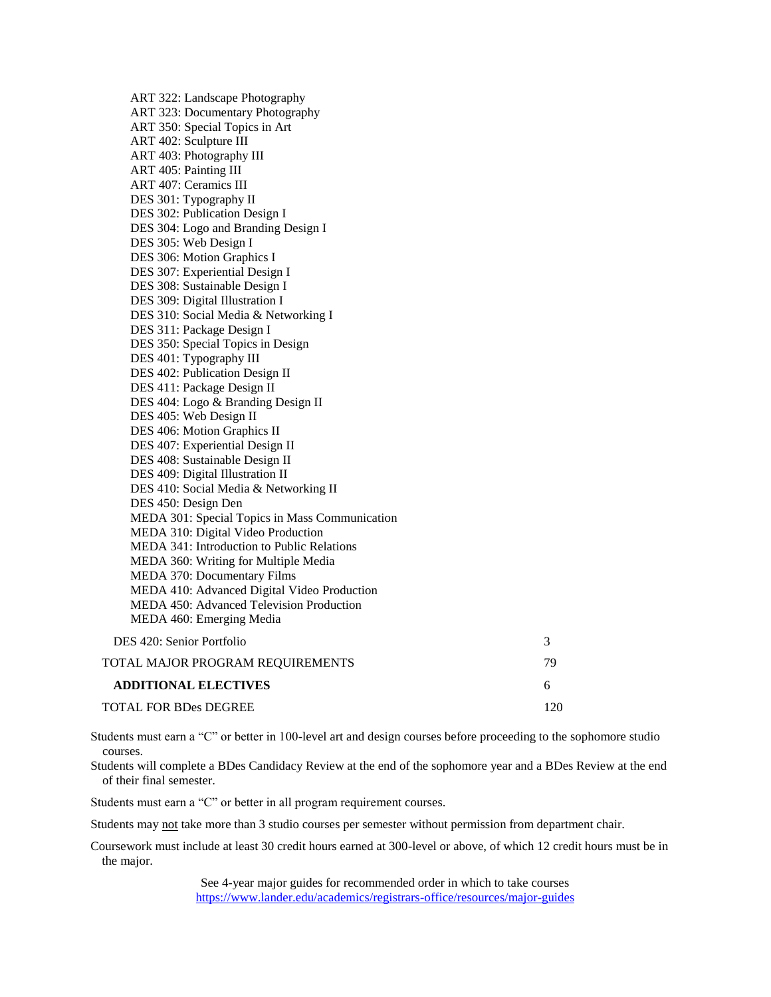ART 322: Landscape Photography ART 323: Documentary Photography ART 350: Special Topics in Art ART 402: Sculpture III ART 403: Photography III ART 405: Painting III ART 407: Ceramics III DES 301: Typography II DES 302: Publication Design I DES 304: Logo and Branding Design I DES 305: Web Design I DES 306: Motion Graphics I DES 307: Experiential Design I DES 308: Sustainable Design I DES 309: Digital Illustration I DES 310: Social Media & Networking I DES 311: Package Design I DES 350: Special Topics in Design DES 401: Typography III DES 402: Publication Design II DES 411: Package Design II DES 404: Logo & Branding Design II DES 405: Web Design II DES 406: Motion Graphics II DES 407: Experiential Design II DES 408: Sustainable Design II DES 409: Digital Illustration II DES 410: Social Media & Networking II DES 450: Design Den MEDA 301: Special Topics in Mass Communication MEDA 310: Digital Video Production MEDA 341: Introduction to Public Relations MEDA 360: Writing for Multiple Media MEDA 370: Documentary Films MEDA 410: Advanced Digital Video Production MEDA 450: Advanced Television Production MEDA 460: Emerging Media DES 420: Senior Portfolio 3 TOTAL MAJOR PROGRAM REQUIREMENTS 79 **ADDITIONAL ELECTIVES** 6

TOTAL FOR BDes DEGREE 120

Students must earn a "C" or better in 100-level art and design courses before proceeding to the sophomore studio courses.

Students will complete a BDes Candidacy Review at the end of the sophomore year and a BDes Review at the end of their final semester.

Students must earn a "C" or better in all program requirement courses.

Students may not take more than 3 studio courses per semester without permission from department chair.

Coursework must include at least 30 credit hours earned at 300-level or above, of which 12 credit hours must be in the major.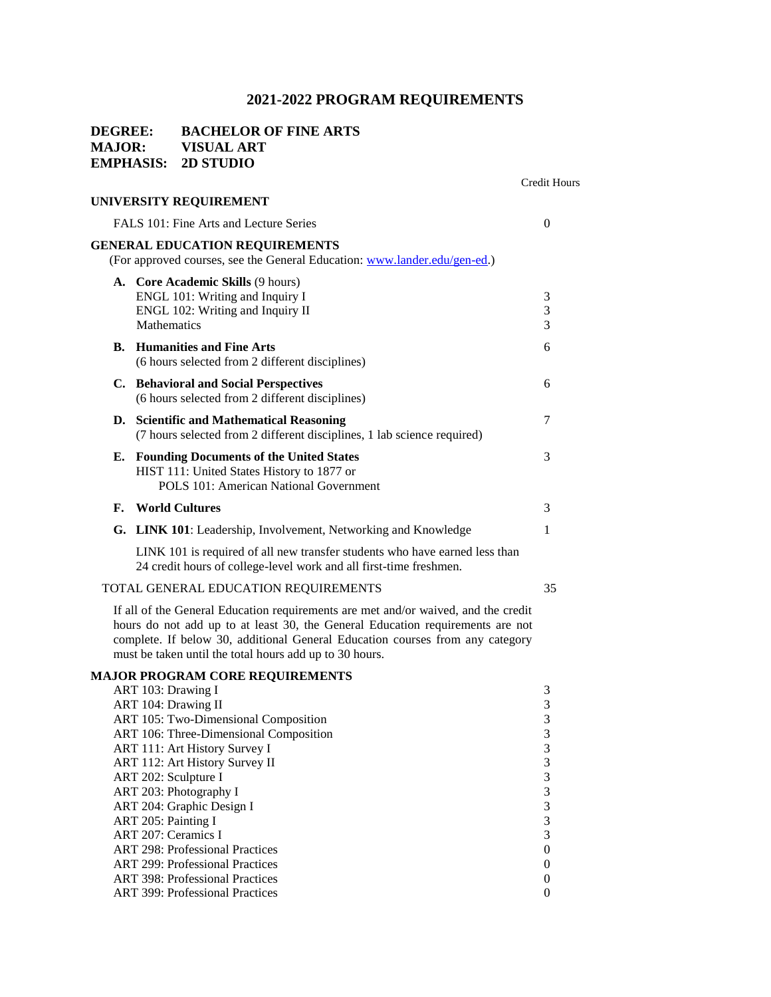### **DEGREE: BACHELOR OF FINE ARTS MAJOR: VISUAL ART EMPHASIS: 2D STUDIO**

|    |                                                                                                                                                                                                                                                      | <b>Credit Hours</b>      |
|----|------------------------------------------------------------------------------------------------------------------------------------------------------------------------------------------------------------------------------------------------------|--------------------------|
|    | UNIVERSITY REQUIREMENT                                                                                                                                                                                                                               |                          |
|    | FALS 101: Fine Arts and Lecture Series                                                                                                                                                                                                               | $\Omega$                 |
|    | <b>GENERAL EDUCATION REQUIREMENTS</b><br>(For approved courses, see the General Education: www.lander.edu/gen-ed.)                                                                                                                                   |                          |
|    | <b>A.</b> Core Academic Skills (9 hours)<br>ENGL 101: Writing and Inquiry I<br>ENGL 102: Writing and Inquiry II<br><b>Mathematics</b>                                                                                                                | $\mathfrak{Z}$<br>3<br>3 |
| В. | <b>Humanities and Fine Arts</b><br>(6 hours selected from 2 different disciplines)                                                                                                                                                                   | 6                        |
|    | C. Behavioral and Social Perspectives<br>(6 hours selected from 2 different disciplines)                                                                                                                                                             | 6                        |
| D. | <b>Scientific and Mathematical Reasoning</b><br>(7 hours selected from 2 different disciplines, 1 lab science required)                                                                                                                              | 7                        |
| Е. | <b>Founding Documents of the United States</b><br>HIST 111: United States History to 1877 or<br>POLS 101: American National Government                                                                                                               | 3                        |
| F. | <b>World Cultures</b>                                                                                                                                                                                                                                | 3                        |
|    | G. LINK 101: Leadership, Involvement, Networking and Knowledge                                                                                                                                                                                       | 1                        |
|    | LINK 101 is required of all new transfer students who have earned less than<br>24 credit hours of college-level work and all first-time freshmen.                                                                                                    |                          |
|    | TOTAL GENERAL EDUCATION REQUIREMENTS                                                                                                                                                                                                                 | 35                       |
|    | If all of the General Education requirements are met and/or waived, and the credit<br>hours do not add up to at least 30, the General Education requirements are not<br>complete If below 30, additional General Education courses from any category |                          |

complete. If below 30, additional General Education courses from any category must be taken until the total hours add up to 30 hours.

### **MAJOR PROGRAM CORE REQUIREMENTS**

| ART 103: Drawing I                     | 3        |
|----------------------------------------|----------|
| ART 104: Drawing II                    | 3        |
| ART 105: Two-Dimensional Composition   | 3        |
| ART 106: Three-Dimensional Composition | 3        |
| ART 111: Art History Survey I          | 3        |
| ART 112: Art History Survey II         | 3        |
| ART 202: Sculpture I                   | 3        |
| ART 203: Photography I                 | 3        |
| ART 204: Graphic Design I              | 3        |
| ART 205: Painting I                    | 3        |
| ART 207: Ceramics I                    | 3        |
| <b>ART 298: Professional Practices</b> | $\Omega$ |
| <b>ART</b> 299: Professional Practices | 0        |
| <b>ART</b> 398: Professional Practices | 0        |
| <b>ART</b> 399: Professional Practices | 0        |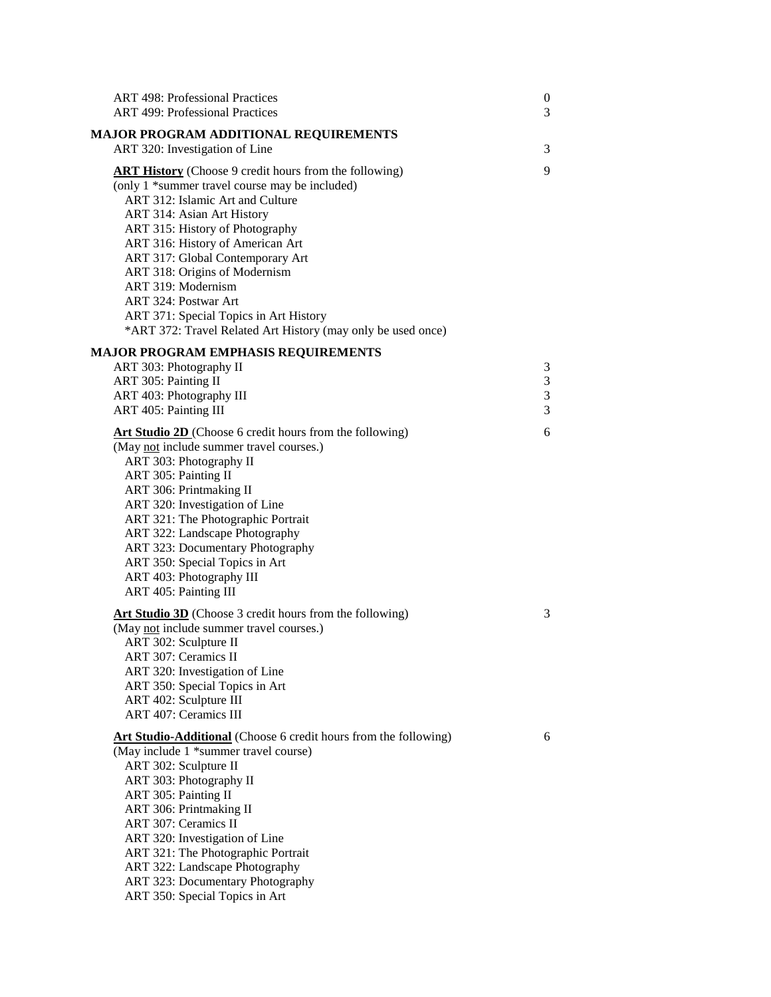| <b>ART 498: Professional Practices</b><br><b>ART 499: Professional Practices</b>                                                                                                                                                                                                                                                                                                                                                                                                      | $\boldsymbol{0}$<br>3 |
|---------------------------------------------------------------------------------------------------------------------------------------------------------------------------------------------------------------------------------------------------------------------------------------------------------------------------------------------------------------------------------------------------------------------------------------------------------------------------------------|-----------------------|
| <b>MAJOR PROGRAM ADDITIONAL REQUIREMENTS</b>                                                                                                                                                                                                                                                                                                                                                                                                                                          |                       |
| ART 320: Investigation of Line                                                                                                                                                                                                                                                                                                                                                                                                                                                        | 3                     |
| <b>ART History</b> (Choose 9 credit hours from the following)<br>(only 1 *summer travel course may be included)<br>ART 312: Islamic Art and Culture<br>ART 314: Asian Art History<br>ART 315: History of Photography<br>ART 316: History of American Art<br>ART 317: Global Contemporary Art<br>ART 318: Origins of Modernism<br>ART 319: Modernism<br>ART 324: Postwar Art<br>ART 371: Special Topics in Art History<br>*ART 372: Travel Related Art History (may only be used once) | 9                     |
| <b>MAJOR PROGRAM EMPHASIS REQUIREMENTS</b>                                                                                                                                                                                                                                                                                                                                                                                                                                            |                       |
| ART 303: Photography II                                                                                                                                                                                                                                                                                                                                                                                                                                                               | 3                     |
| ART 305: Painting II                                                                                                                                                                                                                                                                                                                                                                                                                                                                  | 3<br>3                |
| ART 403: Photography III<br>ART 405: Painting III                                                                                                                                                                                                                                                                                                                                                                                                                                     | 3                     |
|                                                                                                                                                                                                                                                                                                                                                                                                                                                                                       |                       |
| <b>Art Studio 2D</b> (Choose 6 credit hours from the following)<br>(May not include summer travel courses.)<br>ART 303: Photography II<br>ART 305: Painting II<br>ART 306: Printmaking II<br>ART 320: Investigation of Line<br>ART 321: The Photographic Portrait<br>ART 322: Landscape Photography<br>ART 323: Documentary Photography<br>ART 350: Special Topics in Art<br>ART 403: Photography III<br>ART 405: Painting III                                                        | 6                     |
| Art Studio 3D (Choose 3 credit hours from the following)<br>(May not include summer travel courses.)<br>ART 302: Sculpture II<br>ART 307: Ceramics II<br>ART 320: Investigation of Line<br>ART 350: Special Topics in Art<br>ART 402: Sculpture III<br><b>ART 407: Ceramics III</b>                                                                                                                                                                                                   | 3                     |
| Art Studio-Additional (Choose 6 credit hours from the following)<br>(May include 1 *summer travel course)<br>ART 302: Sculpture II<br>ART 303: Photography II<br>ART 305: Painting II<br>ART 306: Printmaking II<br>ART 307: Ceramics II<br>ART 320: Investigation of Line<br>ART 321: The Photographic Portrait<br>ART 322: Landscape Photography<br>ART 323: Documentary Photography<br>ART 350: Special Topics in Art                                                              | 6                     |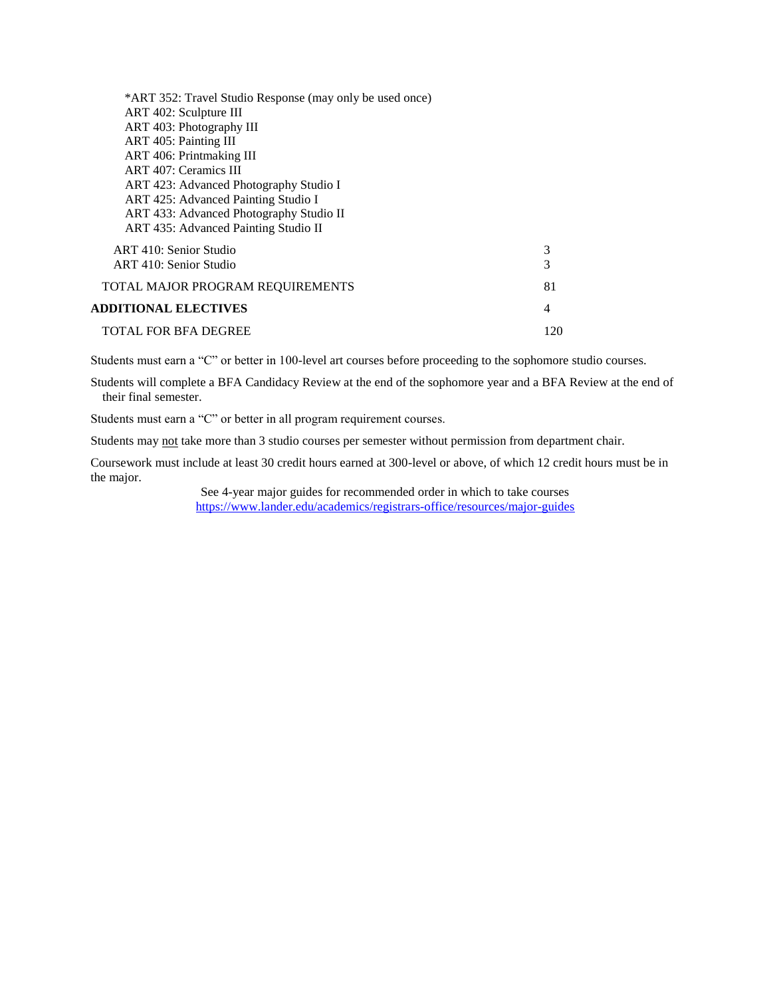| *ART 352: Travel Studio Response (may only be used once) |     |
|----------------------------------------------------------|-----|
| ART 402: Sculpture III                                   |     |
| ART 403: Photography III                                 |     |
| ART 405: Painting III                                    |     |
| ART 406: Printmaking III                                 |     |
| ART 407: Ceramics III                                    |     |
| ART 423: Advanced Photography Studio I                   |     |
| ART 425: Advanced Painting Studio I                      |     |
| ART 433: Advanced Photography Studio II                  |     |
| ART 435: Advanced Painting Studio II                     |     |
| ART 410: Senior Studio                                   | 3   |
| ART 410: Senior Studio                                   | 3   |
| TOTAL MAJOR PROGRAM REQUIREMENTS                         | 81  |
| <b>ADDITIONAL ELECTIVES</b>                              | 4   |
| <b>TOTAL FOR BFA DEGREE</b>                              | 120 |
|                                                          |     |

Students must earn a "C" or better in 100-level art courses before proceeding to the sophomore studio courses.

Students will complete a BFA Candidacy Review at the end of the sophomore year and a BFA Review at the end of their final semester.

Students must earn a "C" or better in all program requirement courses.

Students may not take more than 3 studio courses per semester without permission from department chair.

Coursework must include at least 30 credit hours earned at 300-level or above, of which 12 credit hours must be in the major.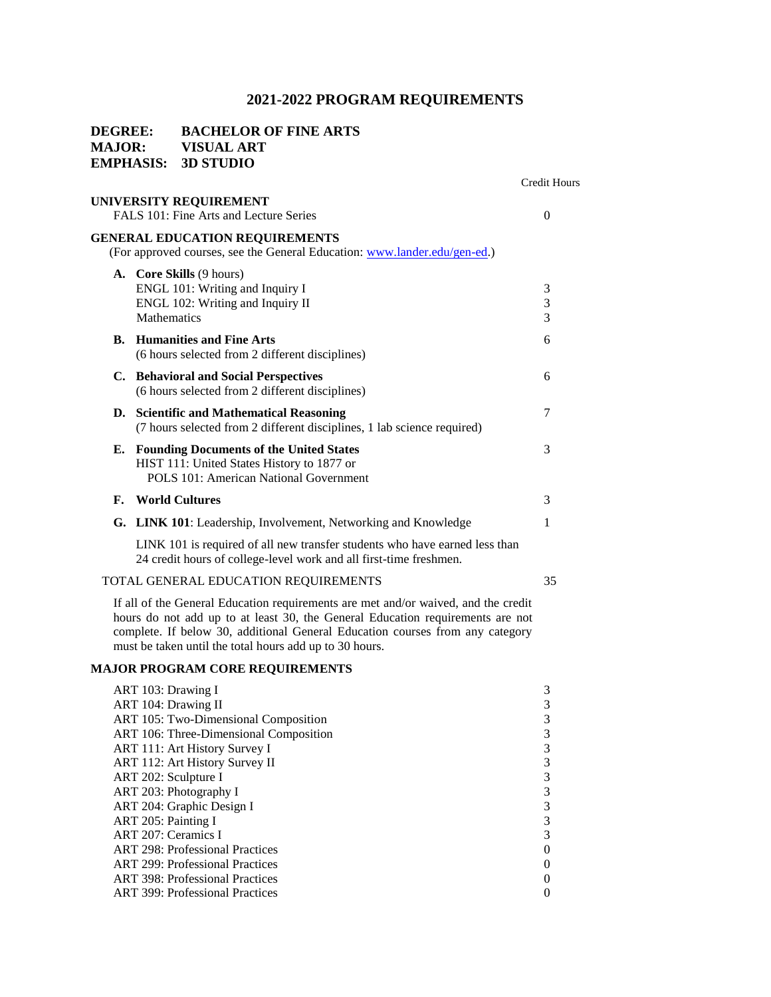Credit Hours

# **DEGREE: BACHELOR OF FINE ARTS MAJOR: VISUAL ART EMPHASIS: 3D STUDIO UNIVERSITY REQUIREMENT**  FALS 101: Fine Arts and Lecture Series 0

### **GENERAL EDUCATION REQUIREMENTS**

(For approved courses, see the General Education: [www.lander.edu/gen-ed.\)](http://www.lander.edu/gen-ed)

|    | <b>A.</b> Core Skills (9 hours)<br>ENGL 101: Writing and Inquiry I<br>ENGL 102: Writing and Inquiry II<br><b>Mathematics</b>                      | 3<br>3<br>3 |
|----|---------------------------------------------------------------------------------------------------------------------------------------------------|-------------|
|    | <b>B.</b> Humanities and Fine Arts<br>(6 hours selected from 2 different disciplines)                                                             | 6           |
|    | C. Behavioral and Social Perspectives<br>(6 hours selected from 2 different disciplines)                                                          | 6           |
| D. | <b>Scientific and Mathematical Reasoning</b><br>(7 hours selected from 2 different disciplines, 1 lab science required)                           | 7           |
|    | <b>E.</b> Founding Documents of the United States<br>HIST 111: United States History to 1877 or<br>POLS 101: American National Government         | 3           |
| F. | <b>World Cultures</b>                                                                                                                             | 3           |
|    | G. LINK 101: Leadership, Involvement, Networking and Knowledge                                                                                    |             |
|    | LINK 101 is required of all new transfer students who have earned less than<br>24 credit hours of college-level work and all first-time freshmen. |             |

### TOTAL GENERAL EDUCATION REQUIREMENTS 35

If all of the General Education requirements are met and/or waived, and the credit hours do not add up to at least 30, the General Education requirements are not complete. If below 30, additional General Education courses from any category must be taken until the total hours add up to 30 hours.

#### **MAJOR PROGRAM CORE REQUIREMENTS**

| ART 103: Drawing I                     | 3        |
|----------------------------------------|----------|
| ART 104: Drawing II                    | 3        |
| ART 105: Two-Dimensional Composition   | 3        |
| ART 106: Three-Dimensional Composition | 3        |
| ART 111: Art History Survey I          | 3        |
| ART 112: Art History Survey II         | 3        |
| ART 202: Sculpture I                   | 3        |
| ART 203: Photography I                 | 3        |
| ART 204: Graphic Design I              | 3        |
| ART 205: Painting I                    | 3        |
| ART 207: Ceramics I                    | 3        |
| <b>ART 298: Professional Practices</b> | $\theta$ |
| <b>ART 299: Professional Practices</b> | $\theta$ |
| <b>ART 398: Professional Practices</b> | 0        |
| <b>ART</b> 399: Professional Practices | $\theta$ |
|                                        |          |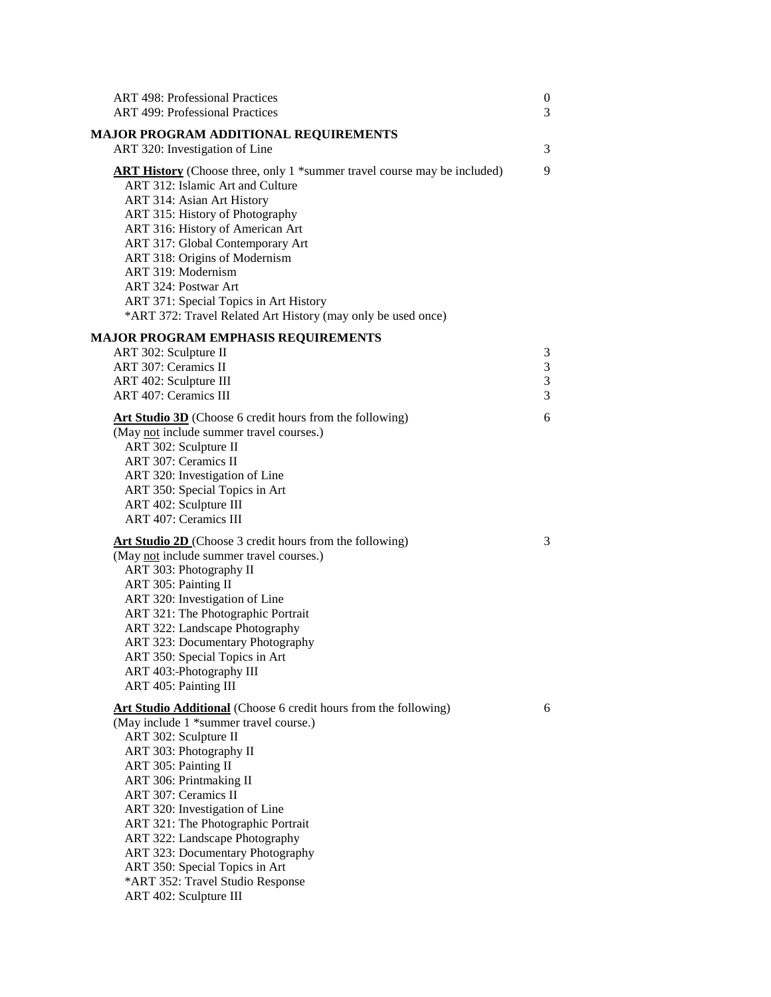| <b>ART 498: Professional Practices</b><br><b>ART 499: Professional Practices</b>                                                                                                                                                                                                                                                                                                                                                                      | $\boldsymbol{0}$<br>3 |
|-------------------------------------------------------------------------------------------------------------------------------------------------------------------------------------------------------------------------------------------------------------------------------------------------------------------------------------------------------------------------------------------------------------------------------------------------------|-----------------------|
| MAJOR PROGRAM ADDITIONAL REQUIREMENTS<br>ART 320: Investigation of Line                                                                                                                                                                                                                                                                                                                                                                               | 3                     |
| <b>ART History</b> (Choose three, only 1 *summer travel course may be included)<br>ART 312: Islamic Art and Culture<br>ART 314: Asian Art History<br>ART 315: History of Photography<br>ART 316: History of American Art<br>ART 317: Global Contemporary Art<br>ART 318: Origins of Modernism<br>ART 319: Modernism<br>ART 324: Postwar Art<br>ART 371: Special Topics in Art History<br>*ART 372: Travel Related Art History (may only be used once) | 9                     |
| <b>MAJOR PROGRAM EMPHASIS REQUIREMENTS</b>                                                                                                                                                                                                                                                                                                                                                                                                            |                       |
| ART 302: Sculpture II                                                                                                                                                                                                                                                                                                                                                                                                                                 | 3                     |
| ART 307: Ceramics II                                                                                                                                                                                                                                                                                                                                                                                                                                  | 3                     |
| ART 402: Sculpture III                                                                                                                                                                                                                                                                                                                                                                                                                                | $\mathfrak{Z}$        |
| <b>ART 407: Ceramics III</b>                                                                                                                                                                                                                                                                                                                                                                                                                          | 3                     |
| <b>Art Studio 3D</b> (Choose 6 credit hours from the following)<br>(May not include summer travel courses.)<br>ART 302: Sculpture II                                                                                                                                                                                                                                                                                                                  | 6                     |
| ART 307: Ceramics II                                                                                                                                                                                                                                                                                                                                                                                                                                  |                       |
| ART 320: Investigation of Line                                                                                                                                                                                                                                                                                                                                                                                                                        |                       |
| ART 350: Special Topics in Art                                                                                                                                                                                                                                                                                                                                                                                                                        |                       |
| ART 402: Sculpture III                                                                                                                                                                                                                                                                                                                                                                                                                                |                       |
| <b>ART 407: Ceramics III</b>                                                                                                                                                                                                                                                                                                                                                                                                                          |                       |
| Art Studio 2D (Choose 3 credit hours from the following)                                                                                                                                                                                                                                                                                                                                                                                              | 3                     |
| (May not include summer travel courses.)                                                                                                                                                                                                                                                                                                                                                                                                              |                       |
| ART 303: Photography II                                                                                                                                                                                                                                                                                                                                                                                                                               |                       |
| ART 305: Painting II                                                                                                                                                                                                                                                                                                                                                                                                                                  |                       |
| ART 320: Investigation of Line                                                                                                                                                                                                                                                                                                                                                                                                                        |                       |
| ART 321: The Photographic Portrait                                                                                                                                                                                                                                                                                                                                                                                                                    |                       |
| ART 322: Landscape Photography                                                                                                                                                                                                                                                                                                                                                                                                                        |                       |
| ART 323: Documentary Photography                                                                                                                                                                                                                                                                                                                                                                                                                      |                       |
| ART 350: Special Topics in Art                                                                                                                                                                                                                                                                                                                                                                                                                        |                       |
| ART 403: Photography III<br>ART 405: Painting III                                                                                                                                                                                                                                                                                                                                                                                                     |                       |
|                                                                                                                                                                                                                                                                                                                                                                                                                                                       |                       |
| <b>Art Studio Additional</b> (Choose 6 credit hours from the following)                                                                                                                                                                                                                                                                                                                                                                               | 6                     |
| (May include 1 *summer travel course.)                                                                                                                                                                                                                                                                                                                                                                                                                |                       |
| ART 302: Sculpture II                                                                                                                                                                                                                                                                                                                                                                                                                                 |                       |
| ART 303: Photography II                                                                                                                                                                                                                                                                                                                                                                                                                               |                       |
| ART 305: Painting II                                                                                                                                                                                                                                                                                                                                                                                                                                  |                       |
| ART 306: Printmaking II                                                                                                                                                                                                                                                                                                                                                                                                                               |                       |
| ART 307: Ceramics II                                                                                                                                                                                                                                                                                                                                                                                                                                  |                       |
| ART 320: Investigation of Line                                                                                                                                                                                                                                                                                                                                                                                                                        |                       |
| ART 321: The Photographic Portrait                                                                                                                                                                                                                                                                                                                                                                                                                    |                       |
| ART 322: Landscape Photography                                                                                                                                                                                                                                                                                                                                                                                                                        |                       |
| ART 323: Documentary Photography                                                                                                                                                                                                                                                                                                                                                                                                                      |                       |
| ART 350: Special Topics in Art                                                                                                                                                                                                                                                                                                                                                                                                                        |                       |
| *ART 352: Travel Studio Response                                                                                                                                                                                                                                                                                                                                                                                                                      |                       |
| ART 402: Sculpture III                                                                                                                                                                                                                                                                                                                                                                                                                                |                       |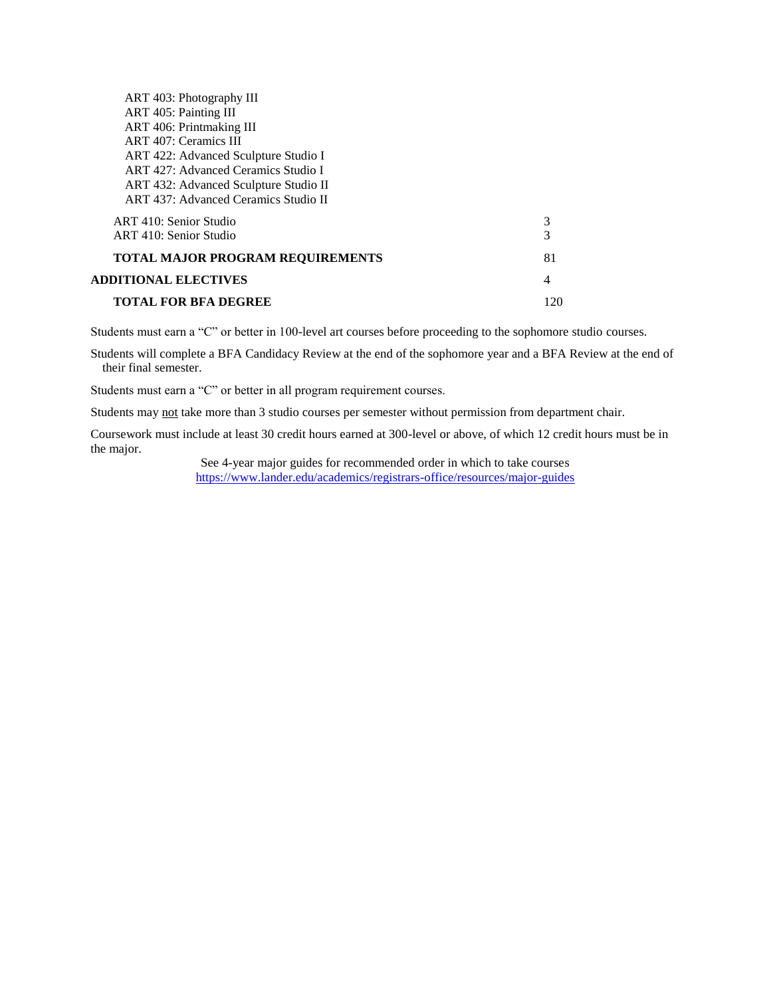| ART 403: Photography III                |     |
|-----------------------------------------|-----|
| ART 405: Painting III                   |     |
| ART 406: Printmaking III                |     |
| ART 407: Ceramics III                   |     |
| ART 422: Advanced Sculpture Studio I    |     |
| ART 427: Advanced Ceramics Studio I     |     |
| ART 432: Advanced Sculpture Studio II   |     |
| ART 437: Advanced Ceramics Studio II    |     |
| ART 410: Senior Studio                  | 3   |
| ART 410: Senior Studio                  | 3   |
| <b>TOTAL MAJOR PROGRAM REQUIREMENTS</b> | 81  |
| <b>ADDITIONAL ELECTIVES</b>             | 4   |
| <b>TOTAL FOR BFA DEGREE</b>             | 120 |

Students must earn a "C" or better in 100-level art courses before proceeding to the sophomore studio courses.

Students will complete a BFA Candidacy Review at the end of the sophomore year and a BFA Review at the end of their final semester.

Students must earn a "C" or better in all program requirement courses.

Students may not take more than 3 studio courses per semester without permission from department chair.

Coursework must include at least 30 credit hours earned at 300-level or above, of which 12 credit hours must be in the major.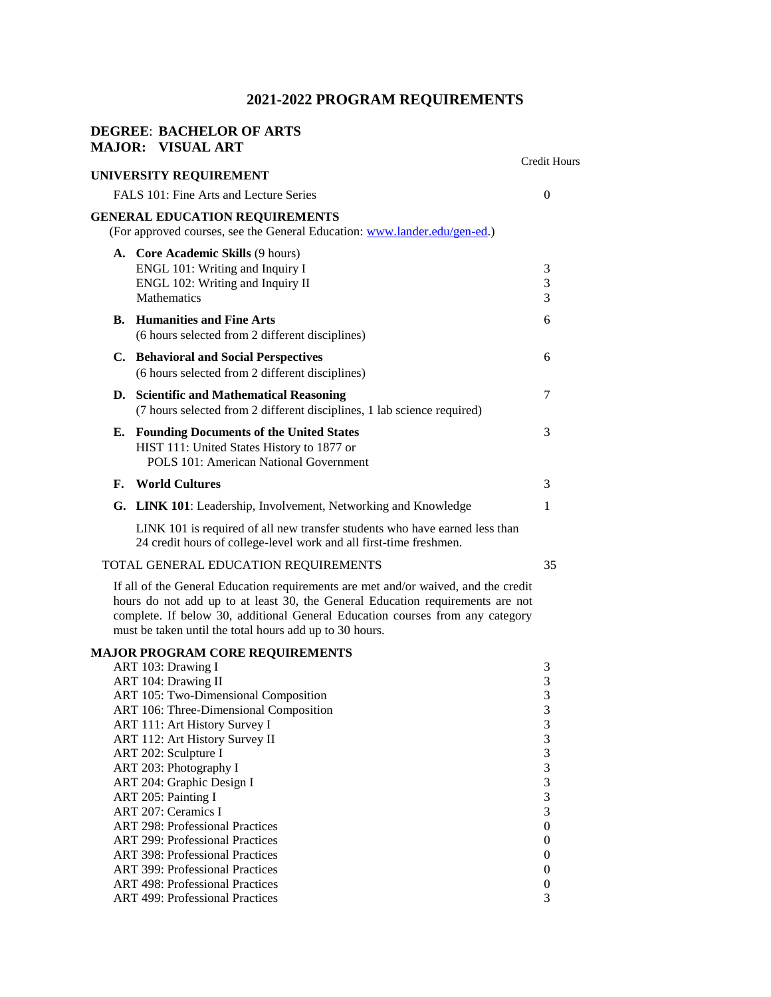### **DEGREE**: **BACHELOR OF ARTS MAJOR: VISUAL ART**

|    |                                                                                                                                                                                                                                                                                                                  | <b>Credit Hours</b>     |
|----|------------------------------------------------------------------------------------------------------------------------------------------------------------------------------------------------------------------------------------------------------------------------------------------------------------------|-------------------------|
|    | UNIVERSITY REQUIREMENT                                                                                                                                                                                                                                                                                           |                         |
|    | FALS 101: Fine Arts and Lecture Series                                                                                                                                                                                                                                                                           | $\overline{0}$          |
|    | <b>GENERAL EDUCATION REQUIREMENTS</b><br>(For approved courses, see the General Education: www.lander.edu/gen-ed.)                                                                                                                                                                                               |                         |
|    | A. Core Academic Skills (9 hours)                                                                                                                                                                                                                                                                                |                         |
|    | ENGL 101: Writing and Inquiry I                                                                                                                                                                                                                                                                                  | 3                       |
|    | ENGL 102: Writing and Inquiry II                                                                                                                                                                                                                                                                                 | 3                       |
|    | Mathematics                                                                                                                                                                                                                                                                                                      | 3                       |
| В. | <b>Humanities and Fine Arts</b><br>(6 hours selected from 2 different disciplines)                                                                                                                                                                                                                               | 6                       |
|    | C. Behavioral and Social Perspectives                                                                                                                                                                                                                                                                            | 6                       |
|    | (6 hours selected from 2 different disciplines)                                                                                                                                                                                                                                                                  |                         |
|    |                                                                                                                                                                                                                                                                                                                  |                         |
|    | D. Scientific and Mathematical Reasoning<br>(7 hours selected from 2 different disciplines, 1 lab science required)                                                                                                                                                                                              | 7                       |
| Е. | <b>Founding Documents of the United States</b>                                                                                                                                                                                                                                                                   | 3                       |
|    | HIST 111: United States History to 1877 or                                                                                                                                                                                                                                                                       |                         |
|    | <b>POLS 101: American National Government</b>                                                                                                                                                                                                                                                                    |                         |
| F. | <b>World Cultures</b>                                                                                                                                                                                                                                                                                            | 3                       |
| G. | <b>LINK 101</b> : Leadership, Involvement, Networking and Knowledge                                                                                                                                                                                                                                              | 1                       |
|    | LINK 101 is required of all new transfer students who have earned less than<br>24 credit hours of college-level work and all first-time freshmen.                                                                                                                                                                |                         |
|    | TOTAL GENERAL EDUCATION REQUIREMENTS                                                                                                                                                                                                                                                                             | 35                      |
|    | If all of the General Education requirements are met and/or waived, and the credit<br>hours do not add up to at least 30, the General Education requirements are not<br>complete. If below 30, additional General Education courses from any category<br>must be taken until the total hours add up to 30 hours. |                         |
|    | <b>MAJOR PROGRAM CORE REQUIREMENTS</b>                                                                                                                                                                                                                                                                           |                         |
|    | ART 103: Drawing I                                                                                                                                                                                                                                                                                               | 3                       |
|    | ART 104: Drawing II                                                                                                                                                                                                                                                                                              | $\mathfrak 3$           |
|    | ART 105: Two-Dimensional Composition                                                                                                                                                                                                                                                                             | 3                       |
|    | ART 106: Three-Dimensional Composition                                                                                                                                                                                                                                                                           | 3                       |
|    | ART 111: Art History Survey I                                                                                                                                                                                                                                                                                    | 3                       |
|    | ART 112: Art History Survey II                                                                                                                                                                                                                                                                                   | $\sqrt{3}$<br>3         |
|    | ART 202: Sculpture I<br>ART 203: Photography I                                                                                                                                                                                                                                                                   | 3                       |
|    | ART 204: Graphic Design I                                                                                                                                                                                                                                                                                        | $\overline{\mathbf{3}}$ |
|    | ART 205: Painting I                                                                                                                                                                                                                                                                                              | 3                       |
|    | ART 207: Ceramics I                                                                                                                                                                                                                                                                                              | 3                       |
|    | <b>ART 298: Professional Practices</b>                                                                                                                                                                                                                                                                           | $\boldsymbol{0}$        |
|    | <b>ART 299: Professional Practices</b>                                                                                                                                                                                                                                                                           | $\boldsymbol{0}$        |
|    | <b>ART 398: Professional Practices</b>                                                                                                                                                                                                                                                                           | $\boldsymbol{0}$        |
|    | <b>ART 399: Professional Practices</b>                                                                                                                                                                                                                                                                           | $\boldsymbol{0}$        |
|    | <b>ART 498: Professional Practices</b>                                                                                                                                                                                                                                                                           | $\boldsymbol{0}$        |
|    | <b>ART 499: Professional Practices</b>                                                                                                                                                                                                                                                                           | 3                       |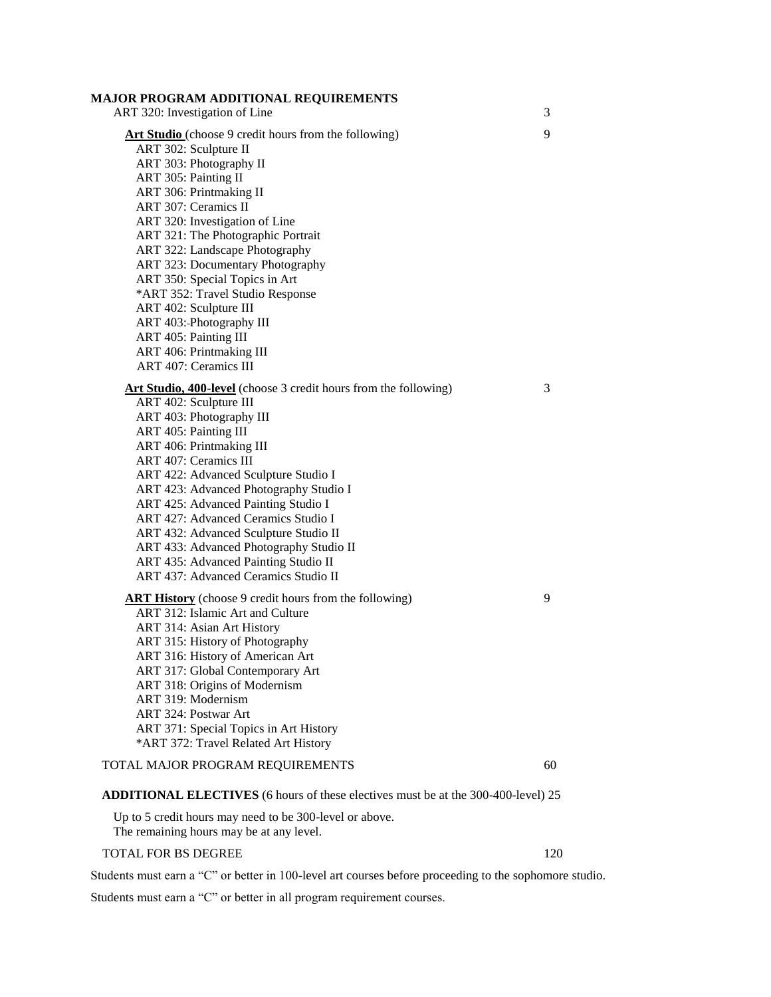### **MAJOR PROGRAM ADDITIONAL REQUIREMENTS**

| ART 320: Investigation of Line                                                           | 3  |
|------------------------------------------------------------------------------------------|----|
| Art Studio (choose 9 credit hours from the following)                                    | 9  |
| ART 302: Sculpture II                                                                    |    |
|                                                                                          |    |
| ART 303: Photography II                                                                  |    |
| ART 305: Painting II                                                                     |    |
| ART 306: Printmaking II                                                                  |    |
| ART 307: Ceramics II                                                                     |    |
| ART 320: Investigation of Line                                                           |    |
| ART 321: The Photographic Portrait                                                       |    |
| ART 322: Landscape Photography                                                           |    |
| ART 323: Documentary Photography                                                         |    |
| ART 350: Special Topics in Art                                                           |    |
| *ART 352: Travel Studio Response                                                         |    |
| ART 402: Sculpture III                                                                   |    |
| ART 403: Photography III                                                                 |    |
| ART 405: Painting III                                                                    |    |
| ART 406: Printmaking III                                                                 |    |
| <b>ART 407: Ceramics III</b>                                                             |    |
| Art Studio, 400-level (choose 3 credit hours from the following)                         | 3  |
| ART 402: Sculpture III                                                                   |    |
| ART 403: Photography III                                                                 |    |
| ART 405: Painting III                                                                    |    |
| ART 406: Printmaking III                                                                 |    |
| <b>ART 407: Ceramics III</b>                                                             |    |
| ART 422: Advanced Sculpture Studio I                                                     |    |
| ART 423: Advanced Photography Studio I                                                   |    |
| ART 425: Advanced Painting Studio I                                                      |    |
| ART 427: Advanced Ceramics Studio I                                                      |    |
| ART 432: Advanced Sculpture Studio II                                                    |    |
| ART 433: Advanced Photography Studio II                                                  |    |
| ART 435: Advanced Painting Studio II                                                     |    |
| <b>ART 437: Advanced Ceramics Studio II</b>                                              |    |
| <b>ART History</b> (choose 9 credit hours from the following)                            | 9  |
| ART 312: Islamic Art and Culture                                                         |    |
| ART 314: Asian Art History                                                               |    |
| ART 315: History of Photography                                                          |    |
| ART 316: History of American Art                                                         |    |
| ART 317: Global Contemporary Art                                                         |    |
| ART 318: Origins of Modernism                                                            |    |
| ART 319: Modernism                                                                       |    |
| ART 324: Postwar Art                                                                     |    |
|                                                                                          |    |
| ART 371: Special Topics in Art History                                                   |    |
| *ART 372: Travel Related Art History                                                     |    |
| TOTAL MAJOR PROGRAM REQUIREMENTS                                                         | 60 |
| <b>ADDITIONAL ELECTIVES</b> (6 hours of these electives must be at the 300-400-level) 25 |    |
|                                                                                          |    |

Up to 5 credit hours may need to be 300-level or above. The remaining hours may be at any level.

### TOTAL FOR BS DEGREE 120

Students must earn a "C" or better in 100-level art courses before proceeding to the sophomore studio.

Students must earn a "C" or better in all program requirement courses.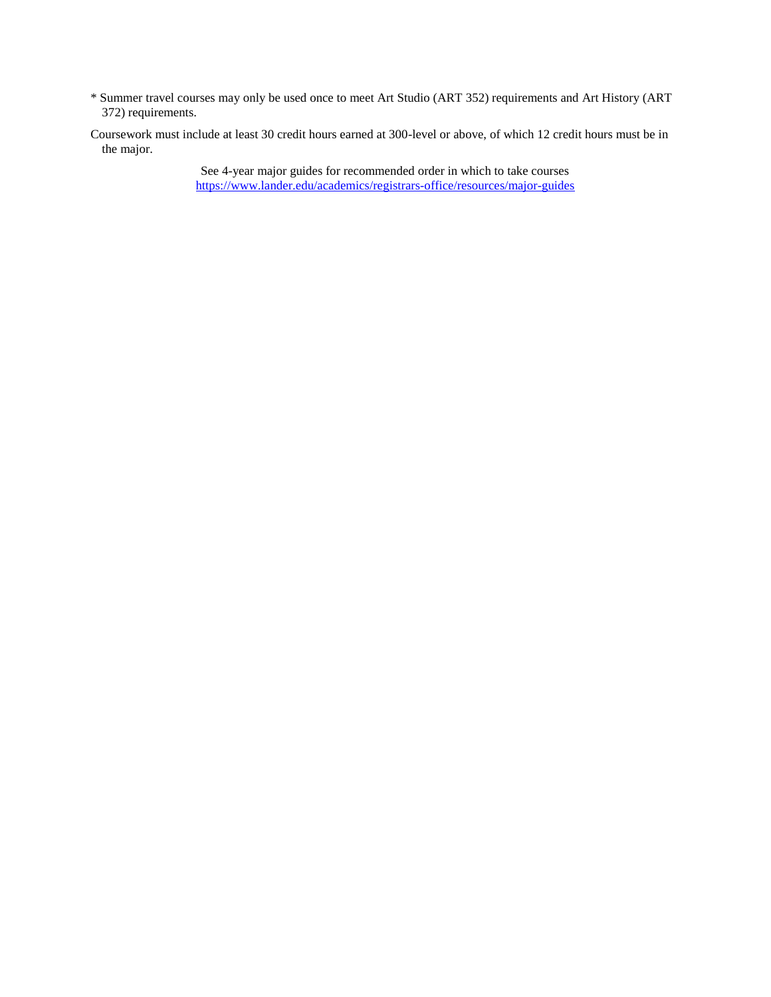- \* Summer travel courses may only be used once to meet Art Studio (ART 352) requirements and Art History (ART 372) requirements.
- Coursework must include at least 30 credit hours earned at 300-level or above, of which 12 credit hours must be in the major.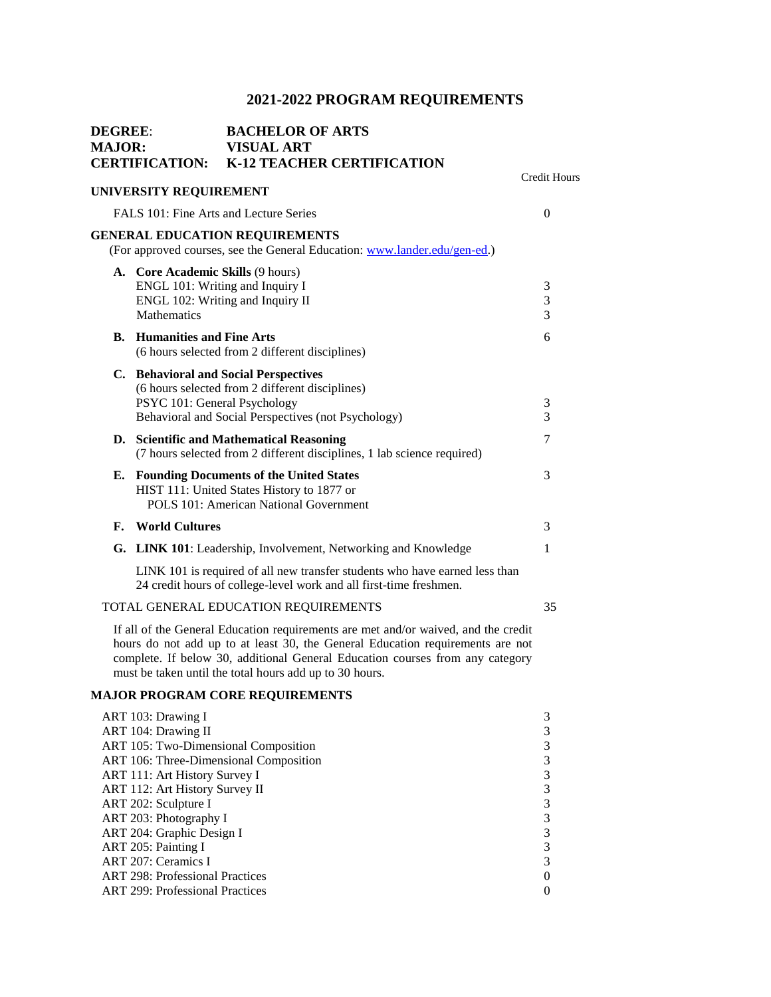| <b>DEGREE:</b><br><b>MAJOR:</b> | <b>CERTIFICATION:</b> | <b>VISUAL ART</b><br><b>K-12 TEACHER CERTIFICATION</b>                                                                                                                                                                                                                                                                                                                                                                                                                                                                                                                                                                                                                                                                                                                                                                                                                                                                                                      |              |
|---------------------------------|-----------------------|-------------------------------------------------------------------------------------------------------------------------------------------------------------------------------------------------------------------------------------------------------------------------------------------------------------------------------------------------------------------------------------------------------------------------------------------------------------------------------------------------------------------------------------------------------------------------------------------------------------------------------------------------------------------------------------------------------------------------------------------------------------------------------------------------------------------------------------------------------------------------------------------------------------------------------------------------------------|--------------|
|                                 |                       |                                                                                                                                                                                                                                                                                                                                                                                                                                                                                                                                                                                                                                                                                                                                                                                                                                                                                                                                                             |              |
|                                 |                       |                                                                                                                                                                                                                                                                                                                                                                                                                                                                                                                                                                                                                                                                                                                                                                                                                                                                                                                                                             | $\theta$     |
|                                 |                       | <b>BACHELOR OF ARTS</b><br>Credit Hours<br><b>UNIVERSITY REQUIREMENT</b><br>FALS 101: Fine Arts and Lecture Series<br><b>GENERAL EDUCATION REQUIREMENTS</b><br>(For approved courses, see the General Education: www.lander.edu/gen-ed.)<br>A. Core Academic Skills (9 hours)<br>ENGL 101: Writing and Inquiry I<br>3<br>3<br>ENGL 102: Writing and Inquiry II<br>$\overline{3}$<br><b>B.</b> Humanities and Fine Arts<br>6<br>(6 hours selected from 2 different disciplines)<br>C. Behavioral and Social Perspectives<br>(6 hours selected from 2 different disciplines)<br>PSYC 101: General Psychology<br>3<br>Behavioral and Social Perspectives (not Psychology)<br>3<br>7<br>D. Scientific and Mathematical Reasoning<br>(7 hours selected from 2 different disciplines, 1 lab science required)<br>3<br><b>Founding Documents of the United States</b><br>HIST 111: United States History to 1877 or<br>POLS 101: American National Government<br>3 |              |
|                                 | <b>Mathematics</b>    |                                                                                                                                                                                                                                                                                                                                                                                                                                                                                                                                                                                                                                                                                                                                                                                                                                                                                                                                                             |              |
|                                 |                       |                                                                                                                                                                                                                                                                                                                                                                                                                                                                                                                                                                                                                                                                                                                                                                                                                                                                                                                                                             |              |
|                                 |                       |                                                                                                                                                                                                                                                                                                                                                                                                                                                                                                                                                                                                                                                                                                                                                                                                                                                                                                                                                             |              |
|                                 |                       |                                                                                                                                                                                                                                                                                                                                                                                                                                                                                                                                                                                                                                                                                                                                                                                                                                                                                                                                                             |              |
| Е.                              |                       |                                                                                                                                                                                                                                                                                                                                                                                                                                                                                                                                                                                                                                                                                                                                                                                                                                                                                                                                                             |              |
| F.                              | <b>World Cultures</b> |                                                                                                                                                                                                                                                                                                                                                                                                                                                                                                                                                                                                                                                                                                                                                                                                                                                                                                                                                             |              |
|                                 |                       | G. LINK 101: Leadership, Involvement, Networking and Knowledge                                                                                                                                                                                                                                                                                                                                                                                                                                                                                                                                                                                                                                                                                                                                                                                                                                                                                              | $\mathbf{1}$ |
|                                 |                       | LINK 101 is required of all new transfer students who have earned less than<br>24 credit hours of college-level work and all first-time freshmen.                                                                                                                                                                                                                                                                                                                                                                                                                                                                                                                                                                                                                                                                                                                                                                                                           |              |
|                                 |                       | TOTAL GENERAL EDUCATION REQUIREMENTS                                                                                                                                                                                                                                                                                                                                                                                                                                                                                                                                                                                                                                                                                                                                                                                                                                                                                                                        | 35           |
|                                 |                       | If all of the General Education requirements are met and/or waived, and the credit                                                                                                                                                                                                                                                                                                                                                                                                                                                                                                                                                                                                                                                                                                                                                                                                                                                                          |              |

hours do not add up to at least 30, the General Education requirements are not complete. If below 30, additional General Education courses from any category must be taken until the total hours add up to 30 hours.

### **MAJOR PROGRAM CORE REQUIREMENTS**

| ART 103: Drawing I                     |  |
|----------------------------------------|--|
| ART 104: Drawing II                    |  |
| ART 105: Two-Dimensional Composition   |  |
| ART 106: Three-Dimensional Composition |  |
| ART 111: Art History Survey I          |  |
| ART 112: Art History Survey II         |  |
| ART 202: Sculpture I                   |  |
| ART 203: Photography I                 |  |
| ART 204: Graphic Design I              |  |
| ART 205: Painting I                    |  |
| ART 207: Ceramics I                    |  |
| <b>ART 298: Professional Practices</b> |  |
| <b>ART</b> 299: Professional Practices |  |
|                                        |  |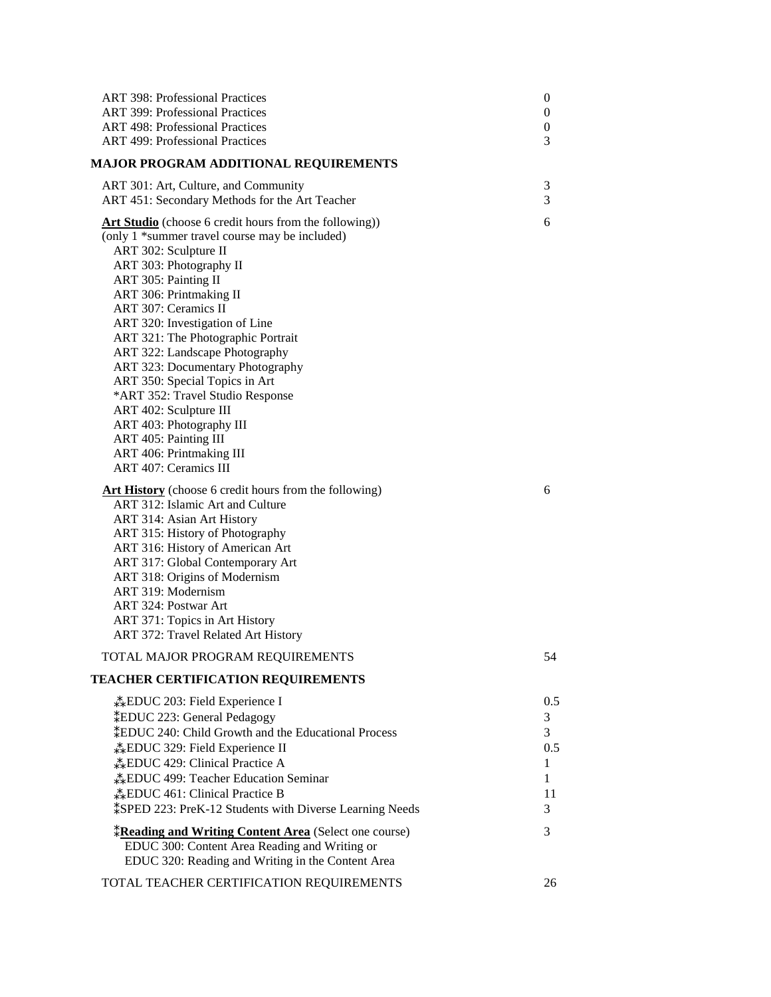| <b>ART 398: Professional Practices</b>                                | $\boldsymbol{0}$ |
|-----------------------------------------------------------------------|------------------|
| <b>ART 399: Professional Practices</b>                                | $\boldsymbol{0}$ |
| <b>ART 498: Professional Practices</b>                                | $\boldsymbol{0}$ |
| <b>ART 499: Professional Practices</b>                                | 3                |
| <b>MAJOR PROGRAM ADDITIONAL REQUIREMENTS</b>                          |                  |
| ART 301: Art, Culture, and Community                                  | 3                |
| ART 451: Secondary Methods for the Art Teacher                        | 3                |
| Art Studio (choose 6 credit hours from the following))                | 6                |
| (only 1 *summer travel course may be included)                        |                  |
| ART 302: Sculpture II                                                 |                  |
| ART 303: Photography II                                               |                  |
| ART 305: Painting II                                                  |                  |
| ART 306: Printmaking II                                               |                  |
| ART 307: Ceramics II                                                  |                  |
| ART 320: Investigation of Line                                        |                  |
| ART 321: The Photographic Portrait                                    |                  |
| ART 322: Landscape Photography                                        |                  |
| ART 323: Documentary Photography<br>ART 350: Special Topics in Art    |                  |
| *ART 352: Travel Studio Response                                      |                  |
| ART 402: Sculpture III                                                |                  |
| ART 403: Photography III                                              |                  |
| ART 405: Painting III                                                 |                  |
| ART 406: Printmaking III                                              |                  |
| <b>ART 407: Ceramics III</b>                                          |                  |
| <b>Art History</b> (choose 6 credit hours from the following)         | 6                |
| ART 312: Islamic Art and Culture                                      |                  |
| ART 314: Asian Art History                                            |                  |
| ART 315: History of Photography                                       |                  |
| ART 316: History of American Art                                      |                  |
| ART 317: Global Contemporary Art                                      |                  |
| ART 318: Origins of Modernism                                         |                  |
| ART 319: Modernism                                                    |                  |
| ART 324: Postwar Art                                                  |                  |
| ART 371: Topics in Art History                                        |                  |
| ART 372: Travel Related Art History                                   |                  |
| TOTAL MAJOR PROGRAM REQUIREMENTS                                      | 54               |
| <b>TEACHER CERTIFICATION REQUIREMENTS</b>                             |                  |
| ** EDUC 203: Field Experience I                                       | 0.5              |
| *EDUC 223: General Pedagogy                                           | 3                |
| <b>*EDUC 240: Child Growth and the Educational Process</b>            | $\overline{3}$   |
| *EDUC 329: Field Experience II                                        | 0.5              |
| <b>*EDUC</b> 429: Clinical Practice A                                 | 1                |
| <b>EDUC</b> 499: Teacher Education Seminar                            | 1                |
| <b>*EDUC</b> 461: Clinical Practice B                                 | 11               |
| <i><b>‡SPED 223: PreK-12 Students with Diverse Learning Needs</b></i> | 3                |
| <b>*Reading and Writing Content Area</b> (Select one course)          | 3                |
| EDUC 300: Content Area Reading and Writing or                         |                  |
| EDUC 320: Reading and Writing in the Content Area                     |                  |
|                                                                       | 26               |
| TOTAL TEACHER CERTIFICATION REQUIREMENTS                              |                  |
|                                                                       |                  |